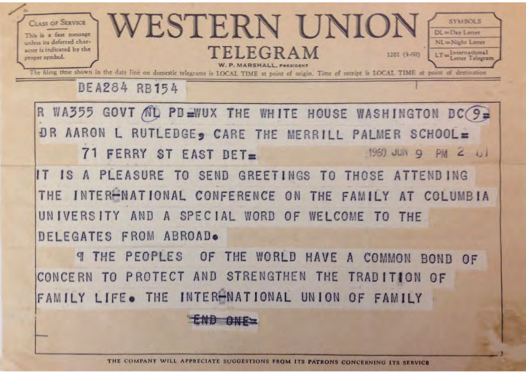

THE COMPANY WILL APPRECIATE SUGGESTIONS FROM ITS PATRONS CONCERNING ITS SERVICE